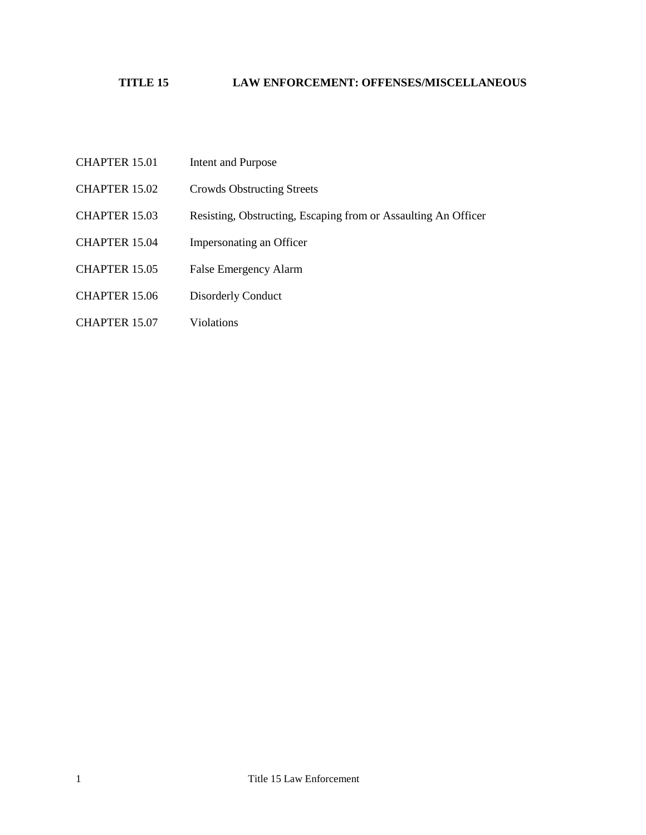## **TITLE 15 LAW ENFORCEMENT: OFFENSES/MISCELLANEOUS**

- CHAPTER 15.01 [Intent and Purpose](#page-1-0)
- CHAPTER 15.02 [Crowds Obstructing Streets](#page-2-0)
- CHAPTER 15.03 [Resisting, Obstructing, Escaping from or Assaulting An Officer](#page-3-0)
- CHAPTER 15.04 [Impersonating an Officer](#page-4-0)
- [CHAPTER 15.05 False Emergency Alarm](#page-5-0)
- CHAPTER 15.06 [Disorderly Conduct](#page-6-0)
- [CHAPTER 15.07](#page-7-0) Violations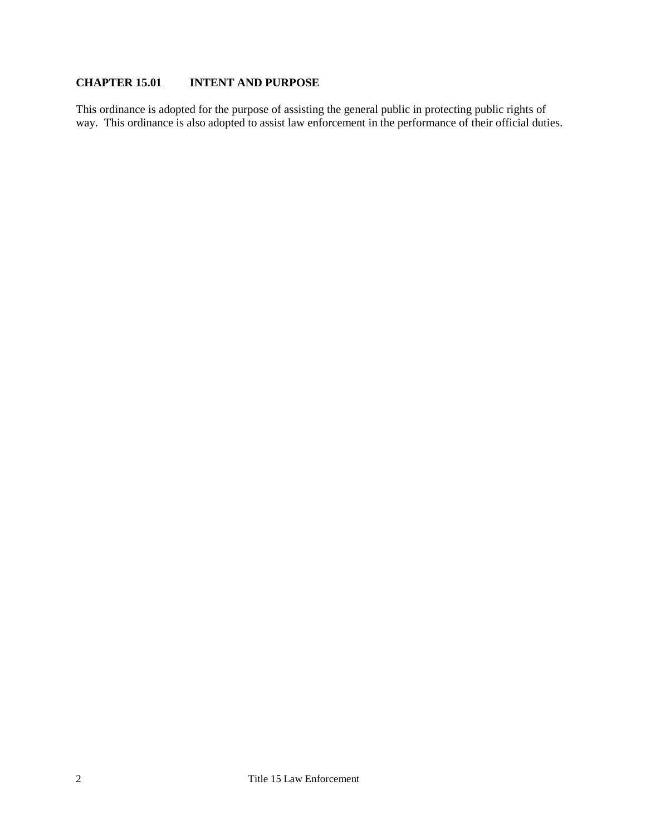### <span id="page-1-0"></span>**CHAPTER 15.01 INTENT AND PURPOSE**

This ordinance is adopted for the purpose of assisting the general public in protecting public rights of way. This ordinance is also adopted to assist law enforcement in the performance of their official duties.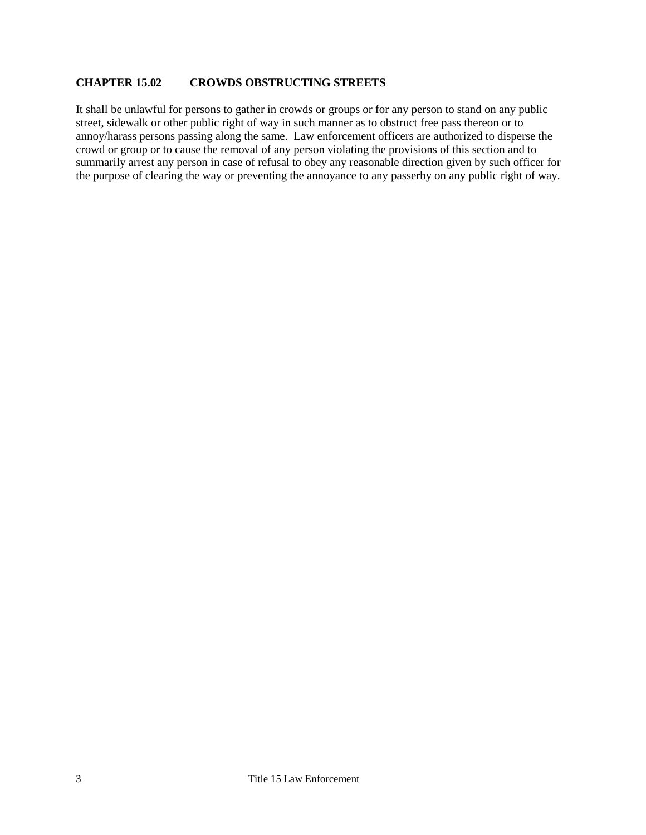#### <span id="page-2-0"></span>**CHAPTER 15.02 CROWDS OBSTRUCTING STREETS**

It shall be unlawful for persons to gather in crowds or groups or for any person to stand on any public street, sidewalk or other public right of way in such manner as to obstruct free pass thereon or to annoy/harass persons passing along the same. Law enforcement officers are authorized to disperse the crowd or group or to cause the removal of any person violating the provisions of this section and to summarily arrest any person in case of refusal to obey any reasonable direction given by such officer for the purpose of clearing the way or preventing the annoyance to any passerby on any public right of way.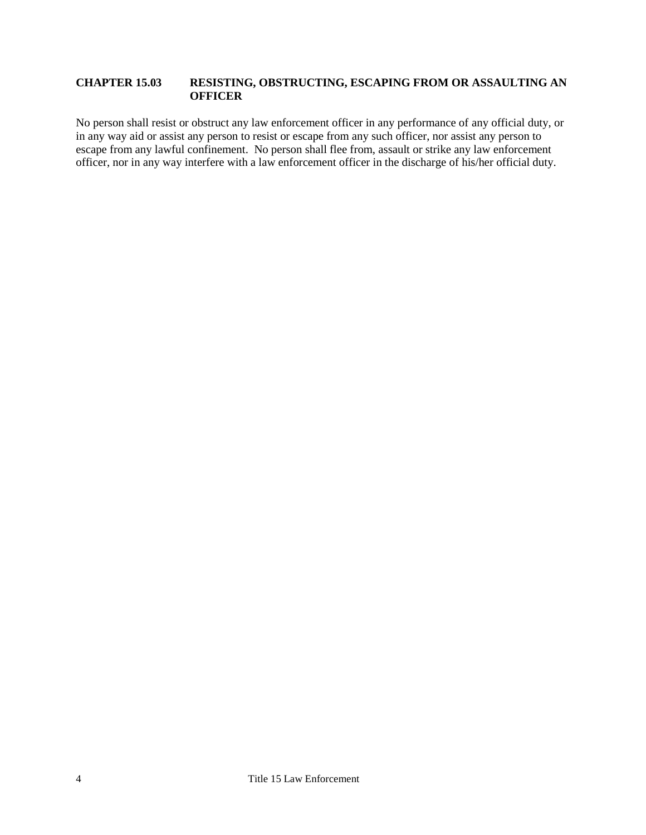#### <span id="page-3-0"></span>**CHAPTER 15.03 RESISTING, OBSTRUCTING, ESCAPING FROM OR ASSAULTING AN OFFICER**

No person shall resist or obstruct any law enforcement officer in any performance of any official duty, or in any way aid or assist any person to resist or escape from any such officer, nor assist any person to escape from any lawful confinement. No person shall flee from, assault or strike any law enforcement officer, nor in any way interfere with a law enforcement officer in the discharge of his/her official duty.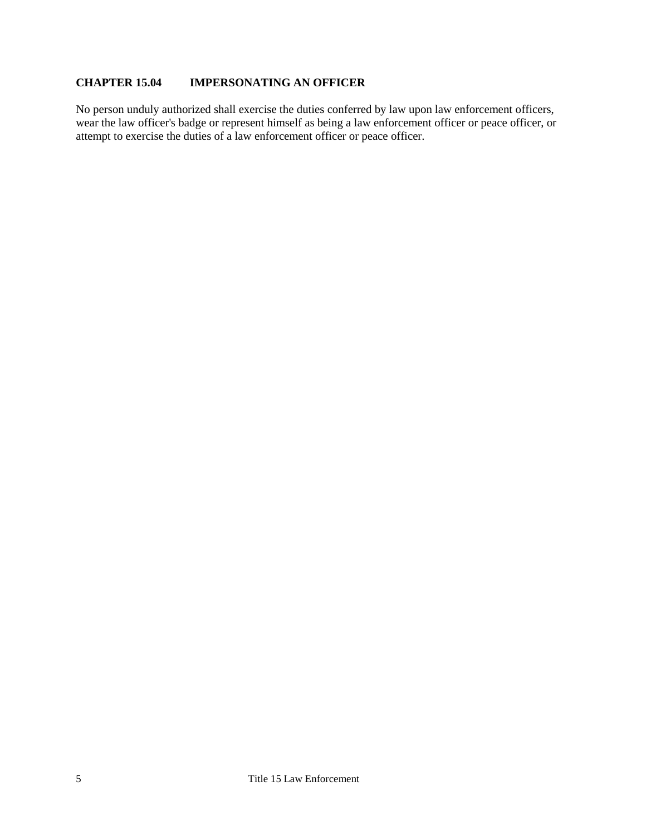## <span id="page-4-0"></span>**CHAPTER 15.04 IMPERSONATING AN OFFICER**

No person unduly authorized shall exercise the duties conferred by law upon law enforcement officers, wear the law officer's badge or represent himself as being a law enforcement officer or peace officer, or attempt to exercise the duties of a law enforcement officer or peace officer.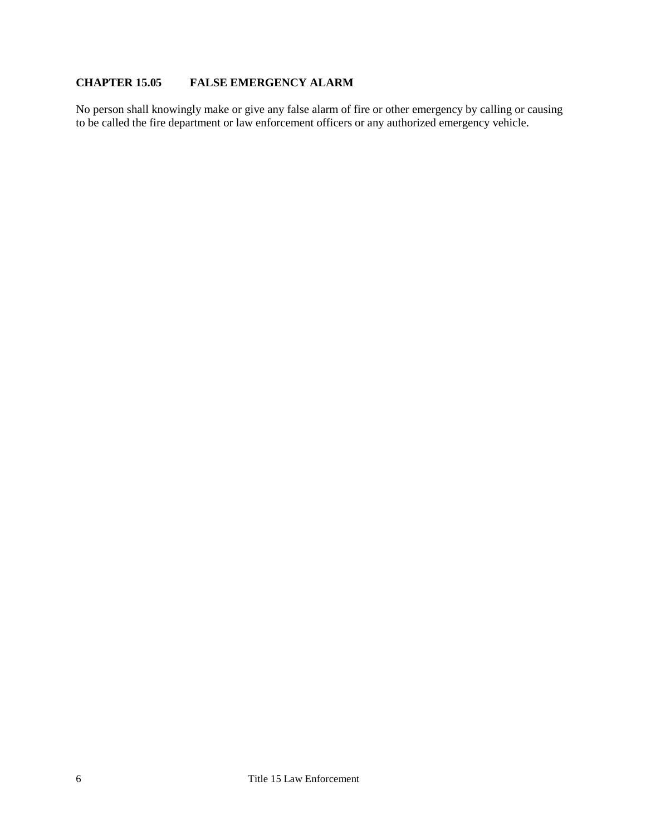# <span id="page-5-0"></span>**CHAPTER 15.05 FALSE EMERGENCY ALARM**

No person shall knowingly make or give any false alarm of fire or other emergency by calling or causing to be called the fire department or law enforcement officers or any authorized emergency vehicle.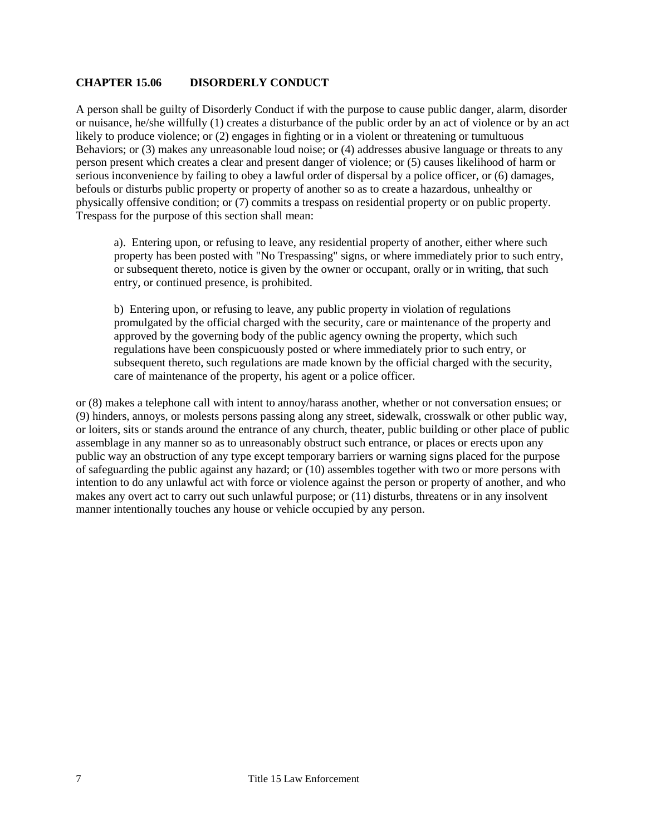#### <span id="page-6-0"></span>**CHAPTER 15.06 DISORDERLY CONDUCT**

A person shall be guilty of Disorderly Conduct if with the purpose to cause public danger, alarm, disorder or nuisance, he/she willfully (1) creates a disturbance of the public order by an act of violence or by an act likely to produce violence; or (2) engages in fighting or in a violent or threatening or tumultuous Behaviors; or (3) makes any unreasonable loud noise; or (4) addresses abusive language or threats to any person present which creates a clear and present danger of violence; or (5) causes likelihood of harm or serious inconvenience by failing to obey a lawful order of dispersal by a police officer, or (6) damages, befouls or disturbs public property or property of another so as to create a hazardous, unhealthy or physically offensive condition; or (7) commits a trespass on residential property or on public property. Trespass for the purpose of this section shall mean:

a). Entering upon, or refusing to leave, any residential property of another, either where such property has been posted with "No Trespassing" signs, or where immediately prior to such entry, or subsequent thereto, notice is given by the owner or occupant, orally or in writing, that such entry, or continued presence, is prohibited.

b) Entering upon, or refusing to leave, any public property in violation of regulations promulgated by the official charged with the security, care or maintenance of the property and approved by the governing body of the public agency owning the property, which such regulations have been conspicuously posted or where immediately prior to such entry, or subsequent thereto, such regulations are made known by the official charged with the security, care of maintenance of the property, his agent or a police officer.

or (8) makes a telephone call with intent to annoy/harass another, whether or not conversation ensues; or (9) hinders, annoys, or molests persons passing along any street, sidewalk, crosswalk or other public way, or loiters, sits or stands around the entrance of any church, theater, public building or other place of public assemblage in any manner so as to unreasonably obstruct such entrance, or places or erects upon any public way an obstruction of any type except temporary barriers or warning signs placed for the purpose of safeguarding the public against any hazard; or (10) assembles together with two or more persons with intention to do any unlawful act with force or violence against the person or property of another, and who makes any overt act to carry out such unlawful purpose; or (11) disturbs, threatens or in any insolvent manner intentionally touches any house or vehicle occupied by any person.